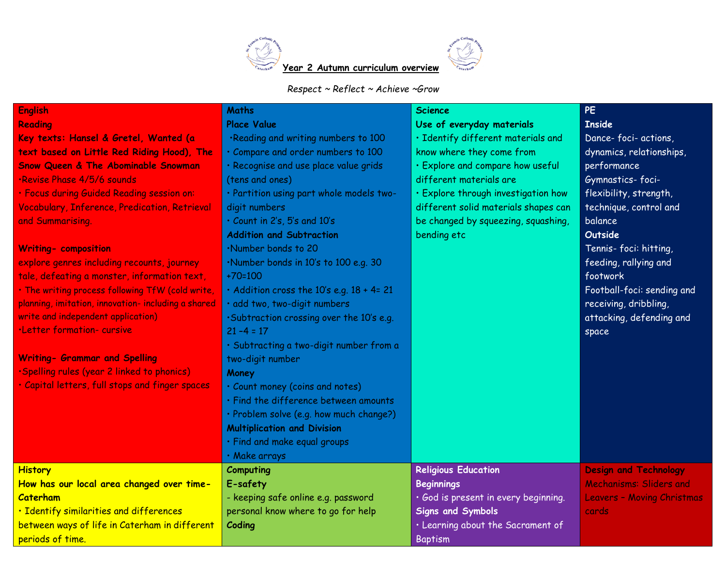

## *Respect ~ Reflect ~ Achieve ~Grow*

| <b>English</b>                                      | <b>Maths</b>                              | <b>Science</b>                       | <b>PE</b>                         |
|-----------------------------------------------------|-------------------------------------------|--------------------------------------|-----------------------------------|
| <b>Reading</b>                                      | <b>Place Value</b>                        | Use of everyday materials            | <b>Inside</b>                     |
| Key texts: Hansel & Gretel, Wanted (a               | .Reading and writing numbers to 100       | · Identify different materials and   | Dance-foci-actions,               |
| text based on Little Red Riding Hood), The          | · Compare and order numbers to 100        | know where they come from            | dynamics, relationships,          |
| <b>Snow Queen &amp; The Abominable Snowman</b>      | · Recognise and use place value grids     | · Explore and compare how useful     | performance                       |
| ·Revise Phase 4/5/6 sounds                          | (tens and ones)                           | different materials are              | Gymnastics-foci-                  |
| · Focus during Guided Reading session on:           | · Partition using part whole models two-  | · Explore through investigation how  | flexibility, strength,            |
| Vocabulary, Inference, Predication, Retrieval       | digit numbers                             | different solid materials shapes can | technique, control and            |
| and Summarising.                                    | · Count in 2's, 5's and 10's              | be changed by squeezing, squashing,  | balance                           |
|                                                     | <b>Addition and Subtraction</b>           | bending etc                          | <b>Outside</b>                    |
| <b>Writing- composition</b>                         | .Number bonds to 20                       |                                      | Tennis-foci: hitting,             |
| explore genres including recounts, journey          | .Number bonds in 10's to 100 e.g. 30      |                                      | feeding, rallying and             |
| tale, defeating a monster, information text,        | $+70=100$                                 |                                      | footwork                          |
| . The writing process following TfW (cold write,    | · Addition cross the 10's e.g. 18 + 4= 21 |                                      | Football-foci: sending and        |
| planning, imitation, innovation- including a shared | · add two, two-digit numbers              |                                      | receiving, dribbling,             |
| write and independent application)                  | .Subtraction crossing over the 10's e.g.  |                                      | attacking, defending and          |
| ·Letter formation-cursive                           | $21 - 4 = 17$                             |                                      | space                             |
|                                                     | · Subtracting a two-digit number from a   |                                      |                                   |
| <b>Writing- Grammar and Spelling</b>                | two-digit number                          |                                      |                                   |
| ·Spelling rules (year 2 linked to phonics)          | Money                                     |                                      |                                   |
| · Capital letters, full stops and finger spaces     | · Count money (coins and notes)           |                                      |                                   |
|                                                     | · Find the difference between amounts     |                                      |                                   |
|                                                     | · Problem solve (e.g. how much change?)   |                                      |                                   |
|                                                     | <b>Multiplication and Division</b>        |                                      |                                   |
|                                                     | · Find and make equal groups              |                                      |                                   |
|                                                     | · Make arrays                             |                                      |                                   |
| <b>History</b>                                      | Computing                                 | <b>Religious Education</b>           | <b>Design and Technology</b>      |
| How has our local area changed over time-           | E-safety                                  | <b>Beginnings</b>                    | Mechanisms: Sliders and           |
| <b>Caterham</b>                                     | - keeping safe online e.g. password       | · God is present in every beginning. | <b>Leavers - Moving Christmas</b> |
| · Identify similarities and differences             | personal know where to go for help        | <b>Signs and Symbols</b>             | cards                             |
| between ways of life in Caterham in different       | Coding                                    | · Learning about the Sacrament of    |                                   |
| periods of time.                                    |                                           | <b>Baptism</b>                       |                                   |